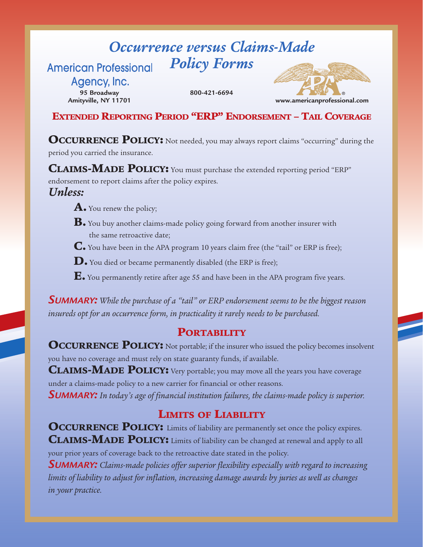#### *Occurrence versus Claims-Made Policy Forms* **American Professional**

Agency, Inc. **95 Broadway Amityville, NY 11701**

**800-421-6694**



**EXTENDED REPORTING PERIOD "ERP" ENDORSEMENT – TAIL COVERAGE**

**OCCURRENCE POLICY:** Not needed, you may always report claims "occurring" during the period you carried the insurance.

**CLAIMS-MADE POLICY:** You must purchase the extended reporting period "ERP"

endorsement to report claims after the policy expires.

#### *Unless:*

- **A.** You renew the policy;
- **B.** You buy another claims-made policy going forward from another insurer with the same retroactive date;
- **C.** You have been in the APA program 10 years claim free (the "tail" or ERP is free);
- **D.** You died or became permanently disabled (the ERP is free);
- **E.** You permanently retire after age 55 and have been in the APA program five years.

*SUMMARY: While the purchase of a "tail" or ERP endorsement seems to be the biggest reason insureds opt for an occurrence form, in practicality it rarely needs to be purchased.*

#### **PORTABILITY**

**OCCURRENCE POLICY:** Not portable; if the insurer who issued the policy becomes insolvent you have no coverage and must rely on state guaranty funds, if available.

**CLAIMS-MADE POLICY:** Very portable; you may move all the years you have coverage under a claims-made policy to a new carrier for financial or other reasons.

*SUMMARY: In today's age of financial institution failures, the claims-made policy is superior.*

### **LIMITS OF LIABILITY**

**OCCURRENCE POLICY:** Limits of liability are permanently set once the policy expires. **CLAIMS-MADE POLICY:** Limits of liability can be changed at renewal and apply to all your prior years of coverage back to the retroactive date stated in the policy.

*SUMMARY: Claims-made policies offer superior flexibility especially with regard to increasing limits of liability to adjust for inflation, increasing damage awards by juries as well as changes in your practice.*